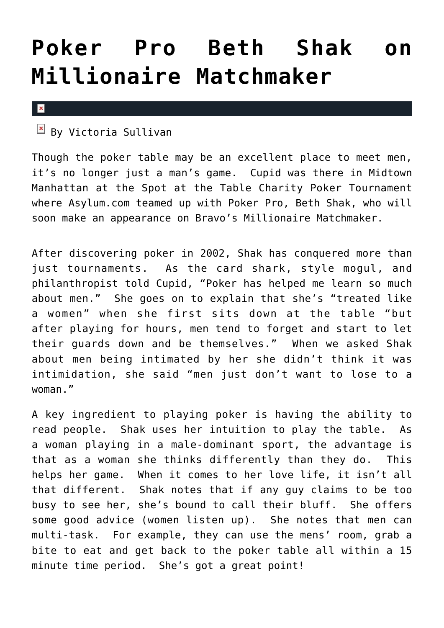## **[Poker Pro Beth Shak on](https://cupidspulse.com/5392/poker-pro-beth-shak-on-millionaire-matchmaker/) [Millionaire Matchmaker](https://cupidspulse.com/5392/poker-pro-beth-shak-on-millionaire-matchmaker/)**

 $\mathbf x$ 

 $\frac{|\mathbf{x}|}{|\mathbf{y}|}$  By Victoria Sullivan

Though the poker table may be an excellent place to meet men, it's no longer just a man's game. Cupid was there in Midtown Manhattan at the Spot at the Table Charity Poker Tournament where Asylum.com teamed up with Poker Pro, Beth Shak, who will soon make an appearance on Bravo's Millionaire Matchmaker.

After discovering poker in 2002, Shak has conquered more than just tournaments. As the card shark, style mogul, and philanthropist told Cupid, "Poker has helped me learn so much about men." She goes on to explain that she's "treated like a women" when she first sits down at the table "but after playing for hours, men tend to forget and start to let their guards down and be themselves." When we asked Shak about men being intimated by her she didn't think it was intimidation, she said "men just don't want to lose to a woman."

A key ingredient to playing poker is having the ability to read people. Shak uses her intuition to play the table. As a woman playing in a male-dominant sport, the advantage is that as a woman she thinks differently than they do. This helps her game. When it comes to her love life, it isn't all that different. Shak notes that if any guy claims to be too busy to see her, she's bound to call their bluff. She offers some good advice (women listen up). She notes that men can multi-task. For example, they can use the mens' room, grab a bite to eat and get back to the poker table all within a 15 minute time period. She's got a great point!